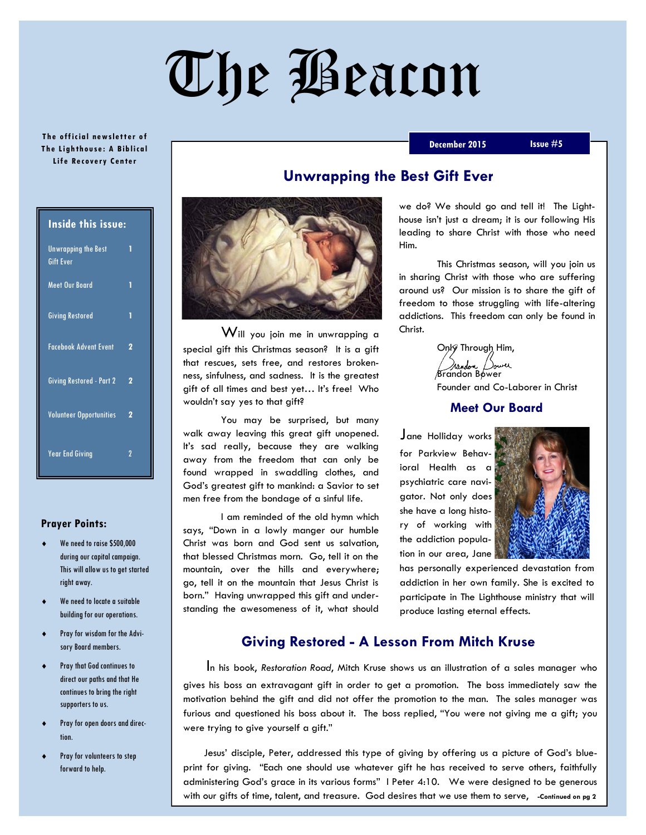# The Beacon

#### **The official newsletter of T h e Ligh th ou se : A Bib lic al Life Recovery Center**

#### **December 2015 Issue #5**

| <b>Inside this issue:</b>                      |                |
|------------------------------------------------|----------------|
| <b>Unwrapping the Best</b><br><b>Gift Ever</b> | 1              |
| <b>Meet Our Board</b>                          | 1              |
| <b>Giving Restored</b>                         | 1              |
| <b>Facebook Advent Event</b>                   | 2              |
| <b>Giving Restored - Part 2</b>                | 2              |
| <b>Volunteer Opportunities</b>                 | $\overline{2}$ |
| <b>Year End Giving</b>                         | 7              |

#### **Prayer Points:**

- We need to raise \$500,000 during our capital campaign. This will allow us to get started right away.
- We need to locate a suitable building for our operations.
- Pray for wisdom for the Advisory Board members.
- Pray that God continues to direct our paths and that He continues to bring the right supporters to us.
- Pray for open doors and direction.
- Pray for volunteers to step forward to help.

Will you join me in unwrapping a special gift this Christmas season? It is a gift that rescues, sets free, and restores brokenness, sinfulness, and sadness. It is the greatest gift of all times and best yet… It's free! Who wouldn't say yes to that gift?

You may be surprised, but many walk away leaving this great gift unopened. It's sad really, because they are walking away from the freedom that can only be found wrapped in swaddling clothes, and God's greatest gift to mankind: a Savior to set men free from the bondage of a sinful life.

I am reminded of the old hymn which says, "Down in a lowly manger our humble Christ was born and God sent us salvation, that blessed Christmas morn. Go, tell it on the mountain, over the hills and everywhere; go, tell it on the mountain that Jesus Christ is born." Having unwrapped this gift and understanding the awesomeness of it, what should

# **Unwrapping the Best Gift Ever**

we do? We should go and tell it! The Lighthouse isn't just a dream; it is our following His leading to share Christ with those who need Him.

This Christmas season, will you join us in sharing Christ with those who are suffering around us? Our mission is to share the gift of freedom to those struggling with life-altering addictions. This freedom can only be found in Christ.

> Only Through Him, Brandon Bower / )owel Founder and Co-Laborer in Christ

### **Meet Our Board**

Jane Holliday works for Parkview Behavioral Health as a psychiatric care navigator. Not only does she have a long history of working with the addiction population in our area, Jane



has personally experienced devastation from addiction in her own family. She is excited to participate in The Lighthouse ministry that will produce lasting eternal effects.

# **Giving Restored - A Lesson From Mitch Kruse**

 In his book, *Restoration Road*, Mitch Kruse shows us an illustration of a sales manager who gives his boss an extravagant gift in order to get a promotion. The boss immediately saw the motivation behind the gift and did not offer the promotion to the man. The sales manager was furious and questioned his boss about it. The boss replied, "You were not giving me a gift; you were trying to give yourself a gift."

 Jesus' disciple, Peter, addressed this type of giving by offering us a picture of God's blueprint for giving. "Each one should use whatever gift he has received to serve others, faithfully administering God's grace in its various forms" I Peter 4:10. We were designed to be generous with our gifts of time, talent, and treasure. God desires that we use them to serve, **-Continued on pg 2**